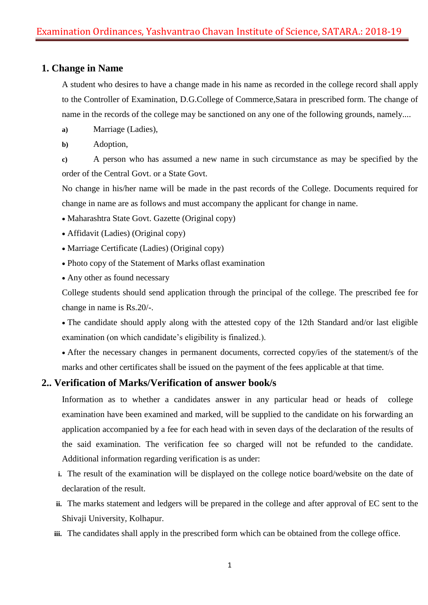# **1. Change in Name**

A student who desires to have a change made in his name as recorded in the college record shall apply to the Controller of Examination, D.G.College of Commerce,Satara in prescribed form. The change of name in the records of the college may be sanctioned on any one of the following grounds, namely....

- **a)** Marriage (Ladies),
- **b)** Adoption,

**c)** A person who has assumed a new name in such circumstance as may be specified by the order of the Central Govt. or a State Govt.

No change in his/her name will be made in the past records of the College. Documents required for change in name are as follows and must accompany the applicant for change in name.

- Maharashtra State Govt. Gazette (Original copy)
- Affidavit (Ladies) (Original copy)
- Marriage Certificate (Ladies) (Original copy)
- Photo copy of the Statement of Marks oflast examination
- Any other as found necessary

College students should send application through the principal of the college. The prescribed fee for change in name is Rs.20/-.

 The candidate should apply along with the attested copy of the 12th Standard and/or last eligible examination (on which candidate's eligibility is finalized.).

 After the necessary changes in permanent documents, corrected copy/ies of the statement/s of the marks and other certificates shall be issued on the payment of the fees applicable at that time.

# **2.. Verification of Marks/Verification of answer book/s**

Information as to whether a candidates answer in any particular head or heads of college examination have been examined and marked, will be supplied to the candidate on his forwarding an application accompanied by a fee for each head with in seven days of the declaration of the results of the said examination. The verification fee so charged will not be refunded to the candidate. Additional information regarding verification is as under:

- **i.** The result of the examination will be displayed on the college notice board/website on the date of declaration of the result.
- **ii.** The marks statement and ledgers will be prepared in the college and after approval of EC sent to the Shivaji University, Kolhapur.
- **iii.** The candidates shall apply in the prescribed form which can be obtained from the college office.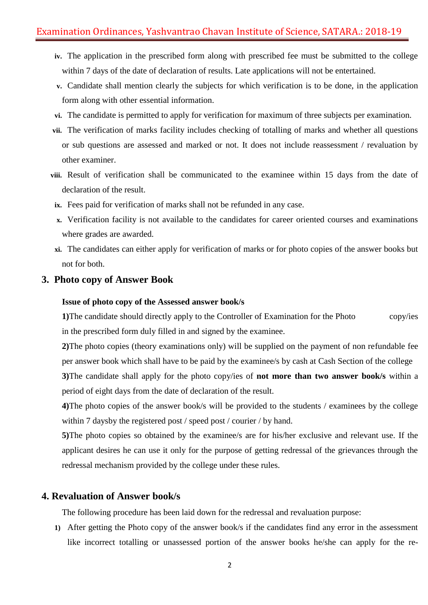# Examination Ordinances, Yashvantrao Chavan Institute of Science, SATARA.: 2018-19

- **iv.** The application in the prescribed form along with prescribed fee must be submitted to the college within 7 days of the date of declaration of results. Late applications will not be entertained.
- **v.** Candidate shall mention clearly the subjects for which verification is to be done, in the application form along with other essential information.
- **vi.** The candidate is permitted to apply for verification for maximum of three subjects per examination.
- **vii.** The verification of marks facility includes checking of totalling of marks and whether all questions or sub questions are assessed and marked or not. It does not include reassessment / revaluation by other examiner.
- **viii.** Result of verification shall be communicated to the examinee within 15 days from the date of declaration of the result.
	- **ix.** Fees paid for verification of marks shall not be refunded in any case.
	- **x.** Verification facility is not available to the candidates for career oriented courses and examinations where grades are awarded.
	- **xi.** The candidates can either apply for verification of marks or for photo copies of the answer books but not for both.

# **3. Photo copy of Answer Book**

#### **Issue of photo copy of the Assessed answer book/s**

**1)**The candidate should directly apply to the Controller of Examination for the Photo copy/ies in the prescribed form duly filled in and signed by the examinee.

**2)**The photo copies (theory examinations only) will be supplied on the payment of non refundable fee per answer book which shall have to be paid by the examinee/s by cash at Cash Section of the college **3)**The candidate shall apply for the photo copy/ies of **not more than two answer book/s** within a period of eight days from the date of declaration of the result.

**4)**The photo copies of the answer book/s will be provided to the students / examinees by the college within 7 daysby the registered post / speed post / courier / by hand.

**5)**The photo copies so obtained by the examinee/s are for his/her exclusive and relevant use. If the applicant desires he can use it only for the purpose of getting redressal of the grievances through the redressal mechanism provided by the college under these rules.

### **4. Revaluation of Answer book/s**

The following procedure has been laid down for the redressal and revaluation purpose:

**1)** After getting the Photo copy of the answer book/s if the candidates find any error in the assessment like incorrect totalling or unassessed portion of the answer books he/she can apply for the re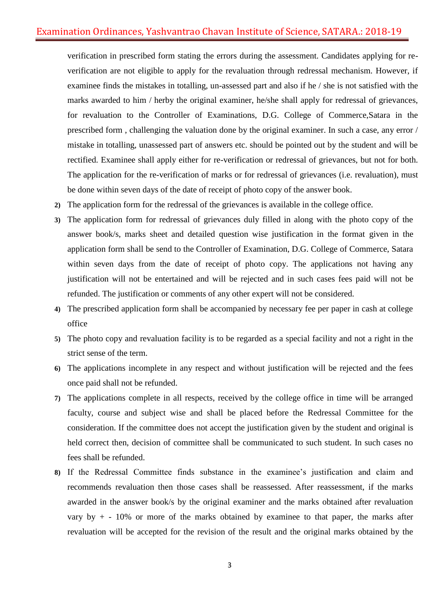verification in prescribed form stating the errors during the assessment. Candidates applying for reverification are not eligible to apply for the revaluation through redressal mechanism. However, if examinee finds the mistakes in totalling, un-assessed part and also if he / she is not satisfied with the marks awarded to him / herby the original examiner, he/she shall apply for redressal of grievances, for revaluation to the Controller of Examinations, D.G. College of Commerce,Satara in the prescribed form , challenging the valuation done by the original examiner. In such a case, any error / mistake in totalling, unassessed part of answers etc. should be pointed out by the student and will be rectified. Examinee shall apply either for re-verification or redressal of grievances, but not for both. The application for the re-verification of marks or for redressal of grievances (i.e. revaluation), must be done within seven days of the date of receipt of photo copy of the answer book.

- **2)** The application form for the redressal of the grievances is available in the college office.
- **3)** The application form for redressal of grievances duly filled in along with the photo copy of the answer book/s, marks sheet and detailed question wise justification in the format given in the application form shall be send to the Controller of Examination, D.G. College of Commerce, Satara within seven days from the date of receipt of photo copy. The applications not having any justification will not be entertained and will be rejected and in such cases fees paid will not be refunded. The justification or comments of any other expert will not be considered.
- **4)** The prescribed application form shall be accompanied by necessary fee per paper in cash at college office
- **5)** The photo copy and revaluation facility is to be regarded as a special facility and not a right in the strict sense of the term.
- **6)** The applications incomplete in any respect and without justification will be rejected and the fees once paid shall not be refunded.
- **7)** The applications complete in all respects, received by the college office in time will be arranged faculty, course and subject wise and shall be placed before the Redressal Committee for the consideration. If the committee does not accept the justification given by the student and original is held correct then, decision of committee shall be communicated to such student. In such cases no fees shall be refunded.
- **8)** If the Redressal Committee finds substance in the examinee's justification and claim and recommends revaluation then those cases shall be reassessed. After reassessment, if the marks awarded in the answer book/s by the original examiner and the marks obtained after revaluation vary by  $+$  - 10% or more of the marks obtained by examinee to that paper, the marks after revaluation will be accepted for the revision of the result and the original marks obtained by the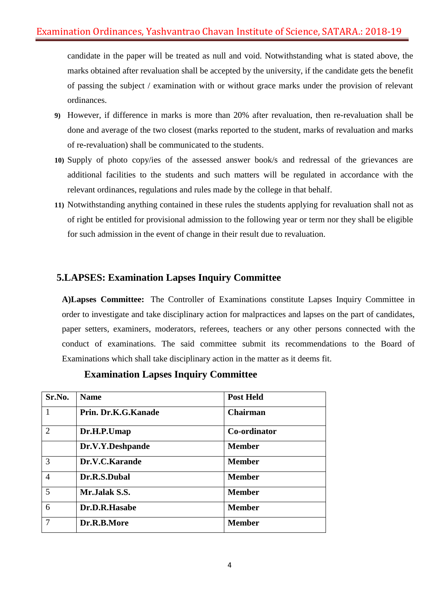candidate in the paper will be treated as null and void. Notwithstanding what is stated above, the marks obtained after revaluation shall be accepted by the university, if the candidate gets the benefit of passing the subject / examination with or without grace marks under the provision of relevant ordinances.

- **9)** However, if difference in marks is more than 20% after revaluation, then re-revaluation shall be done and average of the two closest (marks reported to the student, marks of revaluation and marks of re-revaluation) shall be communicated to the students.
- **10)** Supply of photo copy/ies of the assessed answer book/s and redressal of the grievances are additional facilities to the students and such matters will be regulated in accordance with the relevant ordinances, regulations and rules made by the college in that behalf.
- **11)** Notwithstanding anything contained in these rules the students applying for revaluation shall not as of right be entitled for provisional admission to the following year or term nor they shall be eligible for such admission in the event of change in their result due to revaluation.

# **5.LAPSES: Examination Lapses Inquiry Committee**

**A)Lapses Committee:** The Controller of Examinations constitute Lapses Inquiry Committee in order to investigate and take disciplinary action for malpractices and lapses on the part of candidates, paper setters, examiners, moderators, referees, teachers or any other persons connected with the conduct of examinations. The said committee submit its recommendations to the Board of Examinations which shall take disciplinary action in the matter as it deems fit.

| Sr.No.         | <b>Name</b>         | <b>Post Held</b> |
|----------------|---------------------|------------------|
| 1              | Prin. Dr.K.G.Kanade | <b>Chairman</b>  |
| $\overline{2}$ | Dr.H.P.Umap         | Co-ordinator     |
|                | Dr.V.Y.Deshpande    | <b>Member</b>    |
| 3              | Dr.V.C.Karande      | <b>Member</b>    |
| $\overline{4}$ | Dr.R.S.Dubal        | <b>Member</b>    |
| 5              | Mr.Jalak S.S.       | <b>Member</b>    |
| 6              | Dr.D.R.Hasabe       | <b>Member</b>    |
| 7              | Dr.R.B.More         | <b>Member</b>    |

 **Examination Lapses Inquiry Committee**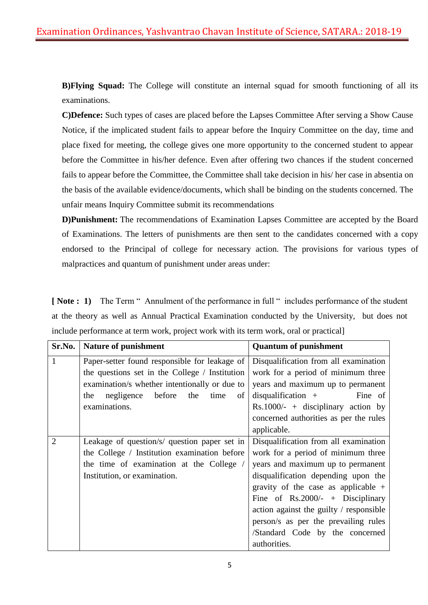**B)Flying Squad:** The College will constitute an internal squad for smooth functioning of all its examinations.

**C)Defence:** Such types of cases are placed before the Lapses Committee After serving a Show Cause Notice, if the implicated student fails to appear before the Inquiry Committee on the day, time and place fixed for meeting, the college gives one more opportunity to the concerned student to appear before the Committee in his/her defence. Even after offering two chances if the student concerned fails to appear before the Committee, the Committee shall take decision in his/ her case in absentia on the basis of the available evidence/documents, which shall be binding on the students concerned. The unfair means Inquiry Committee submit its recommendations

**D)Punishment:** The recommendations of Examination Lapses Committee are accepted by the Board of Examinations. The letters of punishments are then sent to the candidates concerned with a copy endorsed to the Principal of college for necessary action. The provisions for various types of malpractices and quantum of punishment under areas under:

**[ Note : 1)** The Term " Annulment of the performance in full " includes performance of the student at the theory as well as Annual Practical Examination conducted by the University, but does not include performance at term work, project work with its term work, oral or practical]

| Sr.No.         | <b>Nature of punishment</b>                    | <b>Quantum of punishment</b>            |
|----------------|------------------------------------------------|-----------------------------------------|
| 1              | Paper-setter found responsible for leakage of  | Disqualification from all examination   |
|                | the questions set in the College / Institution | work for a period of minimum three      |
|                | examination/s whether intentionally or due to  | years and maximum up to permanent       |
|                | negligence before<br>the<br>the<br>time<br>of  | $disqualification + \nFine of$          |
|                | examinations.                                  | $Rs.1000/- +$ disciplinary action by    |
|                |                                                | concerned authorities as per the rules  |
|                |                                                | applicable.                             |
| $\overline{2}$ | Leakage of question/s/ question paper set in   | Disqualification from all examination   |
|                | the College / Institution examination before   | work for a period of minimum three      |
|                | the time of examination at the College /       | years and maximum up to permanent       |
|                | Institution, or examination.                   | disqualification depending upon the     |
|                |                                                | gravity of the case as applicable $+$   |
|                |                                                | Fine of Rs.2000/- + Disciplinary        |
|                |                                                | action against the guilty / responsible |
|                |                                                | person/s as per the prevailing rules    |
|                |                                                | /Standard Code by the concerned         |
|                |                                                | authorities.                            |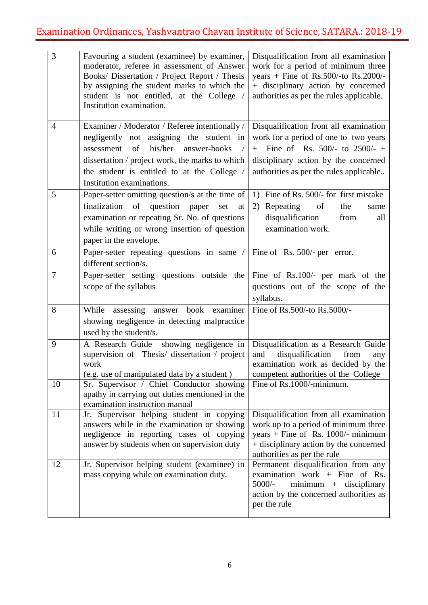| 3              | Favouring a student (examinee) by examiner,<br>moderator, referee in assessment of Answer<br>Books/ Dissertation / Project Report / Thesis<br>by assigning the student marks to which the<br>student is not entitled, at the College /<br>Institution examination.       | Disqualification from all examination<br>work for a period of minimum three<br>years + Fine of Rs.500/-to Rs.2000/-<br>+ disciplinary action by concerned<br>authorities as per the rules applicable.     |
|----------------|--------------------------------------------------------------------------------------------------------------------------------------------------------------------------------------------------------------------------------------------------------------------------|-----------------------------------------------------------------------------------------------------------------------------------------------------------------------------------------------------------|
| $\overline{4}$ | Examiner / Moderator / Referee intentionally /<br>negligently not assigning the student in<br>of<br>his/her<br>answer-books<br>assessment<br>dissertation / project work, the marks to which<br>the student is entitled to at the College /<br>Institution examinations. | Disqualification from all examination<br>work for a period of one to two years<br>Fine of Rs. 500/- to 2500/- +<br>$+$<br>disciplinary action by the concerned<br>authorities as per the rules applicable |
| 5              | Paper-setter omitting question/s at the time of<br>finalization<br>of<br>question<br>paper<br>set<br>at<br>examination or repeating Sr. No. of questions<br>while writing or wrong insertion of question<br>paper in the envelope.                                       | 1) Fine of Rs. 500/- for first mistake<br>2) Repeating<br>of<br>the<br>same<br>disqualification<br>from<br>all<br>examination work.                                                                       |
| 6              | Paper-setter repeating questions in same $/ \text{ Fine of Rs. 500/}-\text{per error.} $<br>different section/s.                                                                                                                                                         |                                                                                                                                                                                                           |
| $\overline{7}$ | Paper-setter setting questions outside the<br>scope of the syllabus                                                                                                                                                                                                      | Fine of Rs.100/- per mark of the<br>questions out of the scope of the<br>syllabus.                                                                                                                        |
| 8              | book examiner<br>While<br>assessing answer<br>showing negligence in detecting malpractice<br>used by the student/s.                                                                                                                                                      | Fine of Rs.500/-to Rs.5000/-                                                                                                                                                                              |
| 9              | A Research Guide showing negligence in<br>supervision of Thesis/ dissertation / project<br>work<br>(e.g. use of manipulated data by a student)                                                                                                                           | Disqualification as a Research Guide<br>disqualification<br>and<br>from<br>any<br>examination work as decided by the<br>competent authorities of the College                                              |
| 10             | Sr. Supervisor / Chief Conductor showing<br>apathy in carrying out duties mentioned in the<br>examination instruction manual                                                                                                                                             | Fine of Rs.1000/-minimum.                                                                                                                                                                                 |
| 11             | Jr. Supervisor helping student in copying<br>answers while in the examination or showing<br>negligence in reporting cases of copying<br>answer by students when on supervision duty                                                                                      | Disqualification from all examination<br>work up to a period of minimum three<br>years + Fine of Rs. $1000/-$ minimum<br>+ disciplinary action by the concerned<br>authorities as per the rule            |
| 12             | Jr. Supervisor helping student (examinee) in<br>mass copying while on examination duty.                                                                                                                                                                                  | Permanent disqualification from any<br>examination work + Fine of Rs.<br>$5000/-$<br>$minimum + disciplinary$<br>action by the concerned authorities as<br>per the rule                                   |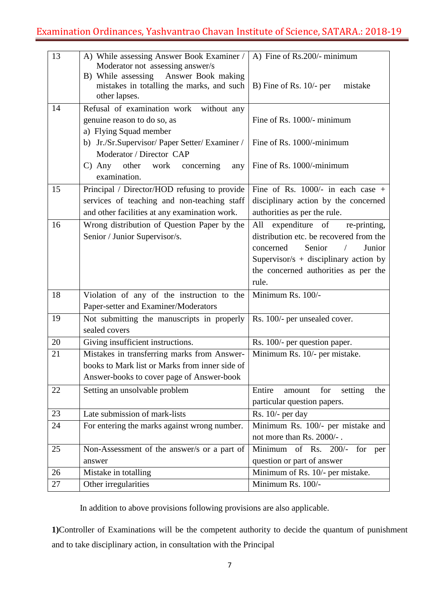| 13 | A) While assessing Answer Book Examiner /                                                                                                  | A) Fine of Rs.200/- minimum               |
|----|--------------------------------------------------------------------------------------------------------------------------------------------|-------------------------------------------|
|    | Moderator not assessing answer/s<br>B) While assessing<br>Answer Book making<br>mistakes in totalling the marks, and such<br>other lapses. | B) Fine of Rs. $10/-$ per<br>mistake      |
| 14 | Refusal of examination work<br>without any                                                                                                 |                                           |
|    | genuine reason to do so, as                                                                                                                | Fine of Rs. 1000/- minimum                |
|    | a) Flying Squad member                                                                                                                     |                                           |
|    | b) Jr./Sr.Supervisor/ Paper Setter/ Examiner /                                                                                             | Fine of Rs. 1000/-minimum                 |
|    | Moderator / Director CAP                                                                                                                   |                                           |
|    | $C)$ Any other<br>work<br>concerning<br>any                                                                                                | Fine of Rs. 1000/-minimum                 |
|    | examination.                                                                                                                               |                                           |
| 15 | Principal / Director/HOD refusing to provide                                                                                               | Fine of Rs. $1000/-$ in each case +       |
|    | services of teaching and non-teaching staff                                                                                                | disciplinary action by the concerned      |
|    | and other facilities at any examination work.                                                                                              | authorities as per the rule.              |
| 16 | Wrong distribution of Question Paper by the                                                                                                | expenditure of<br>re-printing,<br>All     |
|    | Senior / Junior Supervisor/s.                                                                                                              | distribution etc. be recovered from the   |
|    |                                                                                                                                            | Senior<br>Junior<br>concerned             |
|    |                                                                                                                                            | Supervisor/s + disciplinary action by     |
|    |                                                                                                                                            | the concerned authorities as per the      |
|    |                                                                                                                                            | rule.                                     |
| 18 | Violation of any of the instruction to the                                                                                                 | Minimum Rs. 100/-                         |
|    | Paper-setter and Examiner/Moderators                                                                                                       |                                           |
| 19 | Not submitting the manuscripts in properly                                                                                                 | Rs. 100/- per unsealed cover.             |
|    | sealed covers                                                                                                                              |                                           |
| 20 | Giving insufficient instructions.                                                                                                          | Rs. 100/- per question paper.             |
| 21 | Mistakes in transferring marks from Answer-                                                                                                | Minimum Rs. 10/- per mistake.             |
|    | books to Mark list or Marks from inner side of                                                                                             |                                           |
|    | Answer-books to cover page of Answer-book                                                                                                  |                                           |
| 22 | Setting an unsolvable problem                                                                                                              | Entire<br>for<br>setting<br>the<br>amount |
|    |                                                                                                                                            | particular question papers.               |
| 23 | Late submission of mark-lists                                                                                                              | Rs. 10/- per day                          |
| 24 | For entering the marks against wrong number.                                                                                               | Minimum Rs. 100/- per mistake and         |
|    |                                                                                                                                            | not more than Rs. 2000/-.                 |
| 25 | Non-Assessment of the answer/s or a part of                                                                                                | Minimum of Rs. 200/-<br>for<br>per        |
|    | answer                                                                                                                                     | question or part of answer                |
| 26 | Mistake in totalling                                                                                                                       | Minimum of Rs. 10/- per mistake.          |
| 27 | Other irregularities                                                                                                                       | Minimum Rs. 100/-                         |

In addition to above provisions following provisions are also applicable.

**1)**Controller of Examinations will be the competent authority to decide the quantum of punishment and to take disciplinary action, in consultation with the Principal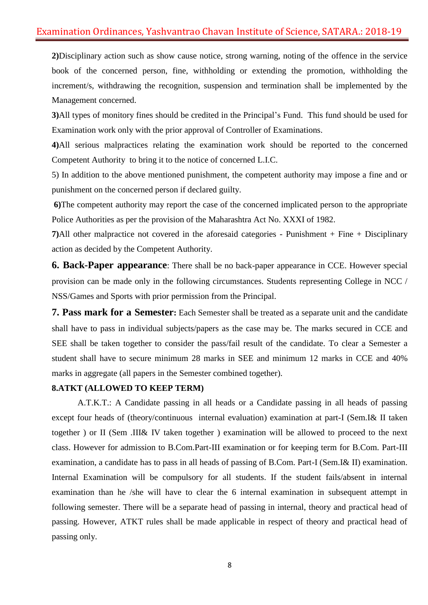# Examination Ordinances, Yashvantrao Chavan Institute of Science, SATARA.: 2018-19

**2)**Disciplinary action such as show cause notice, strong warning, noting of the offence in the service book of the concerned person, fine, withholding or extending the promotion, withholding the increment/s, withdrawing the recognition, suspension and termination shall be implemented by the Management concerned.

**3)**All types of monitory fines should be credited in the Principal's Fund. This fund should be used for Examination work only with the prior approval of Controller of Examinations.

**4)**All serious malpractices relating the examination work should be reported to the concerned Competent Authority to bring it to the notice of concerned L.I.C.

5) In addition to the above mentioned punishment, the competent authority may impose a fine and or punishment on the concerned person if declared guilty.

**6)**The competent authority may report the case of the concerned implicated person to the appropriate Police Authorities as per the provision of the Maharashtra Act No. XXXI of 1982.

**7)**All other malpractice not covered in the aforesaid categories - Punishment + Fine + Disciplinary action as decided by the Competent Authority.

**6. Back-Paper appearance**: There shall be no back-paper appearance in CCE. However special provision can be made only in the following circumstances. Students representing College in NCC / NSS/Games and Sports with prior permission from the Principal.

**7. Pass mark for a Semester:** Each Semester shall be treated as a separate unit and the candidate shall have to pass in individual subjects/papers as the case may be. The marks secured in CCE and SEE shall be taken together to consider the pass/fail result of the candidate. To clear a Semester a student shall have to secure minimum 28 marks in SEE and minimum 12 marks in CCE and 40% marks in aggregate (all papers in the Semester combined together).

#### **8.ATKT (ALLOWED TO KEEP TERM)**

A.T.K.T.: A Candidate passing in all heads or a Candidate passing in all heads of passing except four heads of (theory/continuous internal evaluation) examination at part-I (Sem.I& II taken together ) or II (Sem .III& IV taken together ) examination will be allowed to proceed to the next class. However for admission to B.Com.Part-III examination or for keeping term for B.Com. Part-III examination, a candidate has to pass in all heads of passing of B.Com. Part-I (Sem.I& II) examination. Internal Examination will be compulsory for all students. If the student fails/absent in internal examination than he /she will have to clear the 6 internal examination in subsequent attempt in following semester. There will be a separate head of passing in internal, theory and practical head of passing. However, ATKT rules shall be made applicable in respect of theory and practical head of passing only.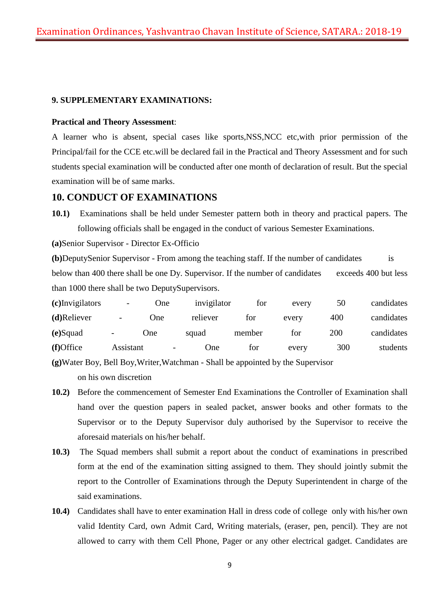### **9. SUPPLEMENTARY EXAMINATIONS:**

#### **Practical and Theory Assessment**:

A learner who is absent, special cases like sports,NSS,NCC etc,with prior permission of the Principal/fail for the CCE etc.will be declared fail in the Practical and Theory Assessment and for such students special examination will be conducted after one month of declaration of result. But the special examination will be of same marks.

### **10. CONDUCT OF EXAMINATIONS**

**10.1)** Examinations shall be held under Semester pattern both in theory and practical papers. The following officials shall be engaged in the conduct of various Semester Examinations.

**(a)**Senior Supervisor - Director Ex-Officio

**(b)**DeputySenior Supervisor - From among the teaching staff. If the number of candidates is below than 400 there shall be one Dy. Supervisor. If the number of candidates exceeds 400 but less than 1000 there shall be two DeputySupervisors.

| (c)Invigilators | -                            | One |                          | invigilator | for    | every | 50  | candidates |
|-----------------|------------------------------|-----|--------------------------|-------------|--------|-------|-----|------------|
| (d)Reliever     | $\qquad \qquad \blacksquare$ | One |                          | reliever    | for    | every | 400 | candidates |
| (e)Squad        | -                            | One | squad                    |             | member | tor   | 200 | candidates |
| (f)Office       | Assistant                    |     | $\overline{\phantom{a}}$ | One)        | tor    | every | 300 | students   |

**(g)**Water Boy, Bell Boy,Writer,Watchman - Shall be appointed by the Supervisor on his own discretion

- **10.2)** Before the commencement of Semester End Examinations the Controller of Examination shall hand over the question papers in sealed packet, answer books and other formats to the Supervisor or to the Deputy Supervisor duly authorised by the Supervisor to receive the aforesaid materials on his/her behalf.
- **10.3)** The Squad members shall submit a report about the conduct of examinations in prescribed form at the end of the examination sitting assigned to them. They should jointly submit the report to the Controller of Examinations through the Deputy Superintendent in charge of the said examinations.
- **10.4)** Candidates shall have to enter examination Hall in dress code of college only with his/her own valid Identity Card, own Admit Card, Writing materials, (eraser, pen, pencil). They are not allowed to carry with them Cell Phone, Pager or any other electrical gadget. Candidates are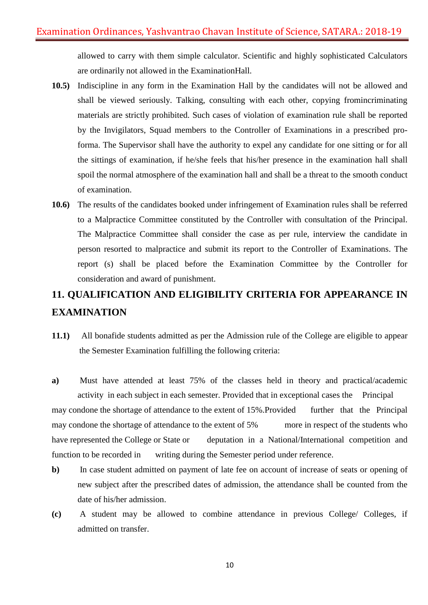allowed to carry with them simple calculator. Scientific and highly sophisticated Calculators are ordinarily not allowed in the ExaminationHall.

- **10.5)** Indiscipline in any form in the Examination Hall by the candidates will not be allowed and shall be viewed seriously. Talking, consulting with each other, copying fromincriminating materials are strictly prohibited. Such cases of violation of examination rule shall be reported by the Invigilators, Squad members to the Controller of Examinations in a prescribed proforma. The Supervisor shall have the authority to expel any candidate for one sitting or for all the sittings of examination, if he/she feels that his/her presence in the examination hall shall spoil the normal atmosphere of the examination hall and shall be a threat to the smooth conduct of examination.
- **10.6)** The results of the candidates booked under infringement of Examination rules shall be referred to a Malpractice Committee constituted by the Controller with consultation of the Principal. The Malpractice Committee shall consider the case as per rule, interview the candidate in person resorted to malpractice and submit its report to the Controller of Examinations. The report (s) shall be placed before the Examination Committee by the Controller for consideration and award of punishment.

# **11. QUALIFICATION AND ELIGIBILITY CRITERIA FOR APPEARANCE IN EXAMINATION**

**11.1)** All bonafide students admitted as per the Admission rule of the College are eligible to appear the Semester Examination fulfilling the following criteria:

**a)** Must have attended at least 75% of the classes held in theory and practical/academic activity in each subject in each semester. Provided that in exceptional cases the Principal may condone the shortage of attendance to the extent of 15%.Provided further that the Principal may condone the shortage of attendance to the extent of 5% more in respect of the students who have represented the College or State or deputation in a National/International competition and function to be recorded in writing during the Semester period under reference.

- **b**) In case student admitted on payment of late fee on account of increase of seats or opening of new subject after the prescribed dates of admission, the attendance shall be counted from the date of his/her admission.
- **(c)** A student may be allowed to combine attendance in previous College/ Colleges, if admitted on transfer.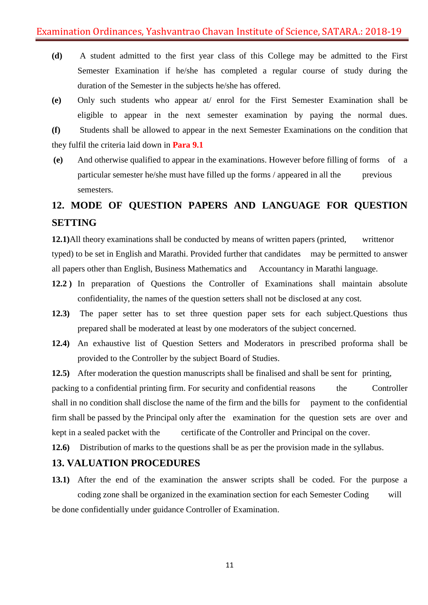- **(d)** A student admitted to the first year class of this College may be admitted to the First Semester Examination if he/she has completed a regular course of study during the duration of the Semester in the subjects he/she has offered.
- **(e)** Only such students who appear at/ enrol for the First Semester Examination shall be eligible to appear in the next semester examination by paying the normal dues.

**(f)** Students shall be allowed to appear in the next Semester Examinations on the condition that they fulfil the criteria laid down in **Para 9.1**

**(e)** And otherwise qualified to appear in the examinations. However before filling of forms of a particular semester he/she must have filled up the forms / appeared in all the previous semesters.

# **12. MODE OF QUESTION PAPERS AND LANGUAGE FOR QUESTION SETTING**

**12.1**)All theory examinations shall be conducted by means of written papers (printed, written or typed) to be set in English and Marathi. Provided further that candidates may be permitted to answer all papers other than English, Business Mathematics and Accountancy in Marathi language.

- **12.2 )** In preparation of Questions the Controller of Examinations shall maintain absolute confidentiality, the names of the question setters shall not be disclosed at any cost.
- **12.3)** The paper setter has to set three question paper sets for each subject.Questions thus prepared shall be moderated at least by one moderators of the subject concerned.
- **12.4)** An exhaustive list of Question Setters and Moderators in prescribed proforma shall be provided to the Controller by the subject Board of Studies.

**12.5)** After moderation the question manuscripts shall be finalised and shall be sent for printing,

packing to a confidential printing firm. For security and confidential reasons the Controller shall in no condition shall disclose the name of the firm and the bills for payment to the confidential firm shall be passed by the Principal only after the examination for the question sets are over and kept in a sealed packet with the certificate of the Controller and Principal on the cover.

**12.6)** Distribution of marks to the questions shall be as per the provision made in the syllabus.

### **13. VALUATION PROCEDURES**

**13.1)** After the end of the examination the answer scripts shall be coded. For the purpose a coding zone shall be organized in the examination section for each Semester Coding will be done confidentially under guidance Controller of Examination.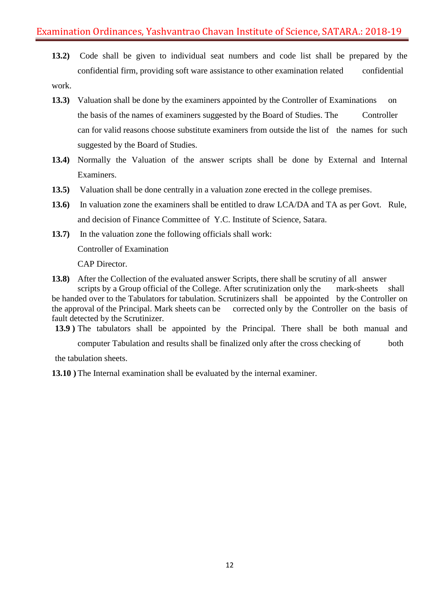**13.2)** Code shall be given to individual seat numbers and code list shall be prepared by the confidential firm, providing soft ware assistance to other examination related confidential work.

- **13.3)** Valuation shall be done by the examiners appointed by the Controller of Examinations on the basis of the names of examiners suggested by the Board of Studies. The Controller can for valid reasons choose substitute examiners from outside the list of the names for such suggested by the Board of Studies.
- **13.4)** Normally the Valuation of the answer scripts shall be done by External and Internal Examiners.
- **13.5)** Valuation shall be done centrally in a valuation zone erected in the college premises.
- **13.6)** In valuation zone the examiners shall be entitled to draw LCA/DA and TA as per Govt. Rule, and decision of Finance Committee of Y.C. Institute of Science, Satara.
- **13.7)** In the valuation zone the following officials shall work:

Controller of Examination

CAP Director.

**13.8)** After the Collection of the evaluated answer Scripts, there shall be scrutiny of all answer scripts by a Group official of the College. After scrutinization only the mark-sheets shall be handed over to the Tabulators for tabulation. Scrutinizers shall be appointed by the Controller on

the approval of the Principal. Mark sheets can be corrected only by the Controller on the basis of fault detected by the Scrutinizer.

**13.9 )** The tabulators shall be appointed by the Principal. There shall be both manual and

computer Tabulation and results shall be finalized only after the cross checking of both the tabulation sheets.

**13.10 )** The Internal examination shall be evaluated by the internal examiner.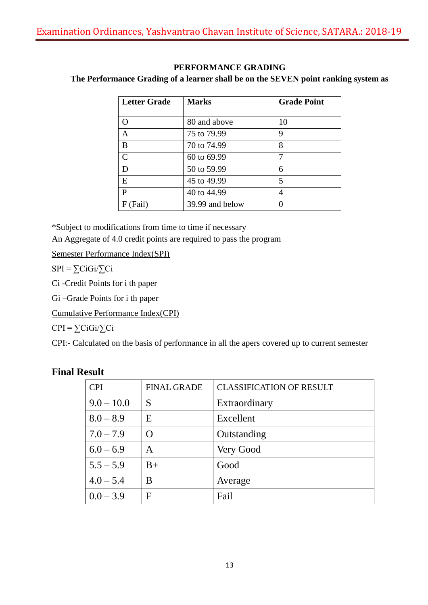# **PERFORMANCE GRADING**

### **The Performance Grading of a learner shall be on the SEVEN point ranking system as**

| <b>Letter Grade</b> | <b>Marks</b>    | <b>Grade Point</b> |
|---------------------|-----------------|--------------------|
|                     |                 |                    |
| O                   | 80 and above    | 10                 |
| $\overline{A}$      | 75 to 79.99     | 9                  |
| B                   | 70 to 74.99     | 8                  |
| $\overline{C}$      | 60 to 69.99     |                    |
| D                   | 50 to 59.99     | 6                  |
| E                   | 45 to 49.99     | 5                  |
| $\mathbf{P}$        | 40 to 44.99     | 4                  |
| (Fail)<br>F         | 39.99 and below |                    |

\*Subject to modifications from time to time if necessary

An Aggregate of 4.0 credit points are required to pass the program

Semester Performance Index(SPI)

 $SPI = \sum CiGi/\sum Ci$ 

Ci -Credit Points for i th paper

Gi –Grade Points for i th paper

Cumulative Performance Index(CPI)

 $CPI = \sum CiGi/\sum Ci$ 

CPI:- Calculated on the basis of performance in all the apers covered up to current semester

| <b>CPI</b>   | <b>FINAL GRADE</b> | <b>CLASSIFICATION OF RESULT</b> |
|--------------|--------------------|---------------------------------|
| $9.0 - 10.0$ | S                  | Extraordinary                   |
| $8.0 - 8.9$  | E                  | Excellent                       |
| $7.0 - 7.9$  | $\Omega$           | Outstanding                     |
| $6.0 - 6.9$  | A                  | Very Good                       |
| $5.5 - 5.9$  | $B+$               | Good                            |
| $4.0 - 5.4$  | B                  | Average                         |
| $0.0 - 3.9$  | F                  | Fail                            |

# **Final Result**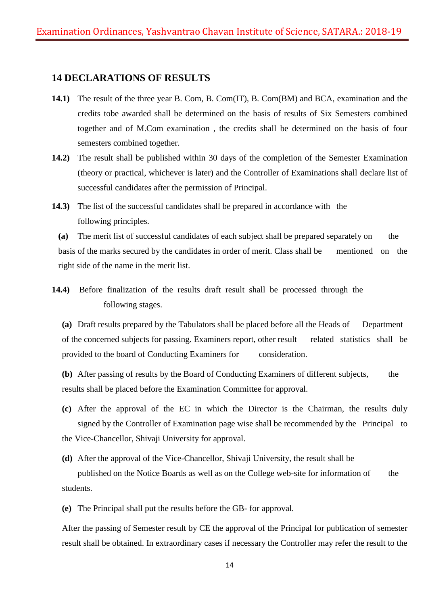### **14 DECLARATIONS OF RESULTS**

- **14.1)** The result of the three year B. Com, B. Com(IT), B. Com(BM) and BCA, examination and the credits tobe awarded shall be determined on the basis of results of Six Semesters combined together and of M.Com examination , the credits shall be determined on the basis of four semesters combined together.
- **14.2)** The result shall be published within 30 days of the completion of the Semester Examination (theory or practical, whichever is later) and the Controller of Examinations shall declare list of successful candidates after the permission of Principal.
- **14.3)** The list of the successful candidates shall be prepared in accordance with the following principles.

**(a)** The merit list of successful candidates of each subject shall be prepared separately on the basis of the marks secured by the candidates in order of merit. Class shall be mentioned on the right side of the name in the merit list.

**14.4)** Before finalization of the results draft result shall be processed through the following stages.

**(a)** Draft results prepared by the Tabulators shall be placed before all the Heads of Department of the concerned subjects for passing. Examiners report, other result related statistics shall be provided to the board of Conducting Examiners for consideration.

**(b)** After passing of results by the Board of Conducting Examiners of different subjects, the results shall be placed before the Examination Committee for approval.

**(c)** After the approval of the EC in which the Director is the Chairman, the results duly signed by the Controller of Examination page wise shall be recommended by the Principal to the Vice-Chancellor, Shivaji University for approval.

**(d)** After the approval of the Vice-Chancellor, Shivaji University, the result shall be published on the Notice Boards as well as on the College web-site for information of the students.

**(e)** The Principal shall put the results before the GB- for approval.

After the passing of Semester result by CE the approval of the Principal for publication of semester result shall be obtained. In extraordinary cases if necessary the Controller may refer the result to the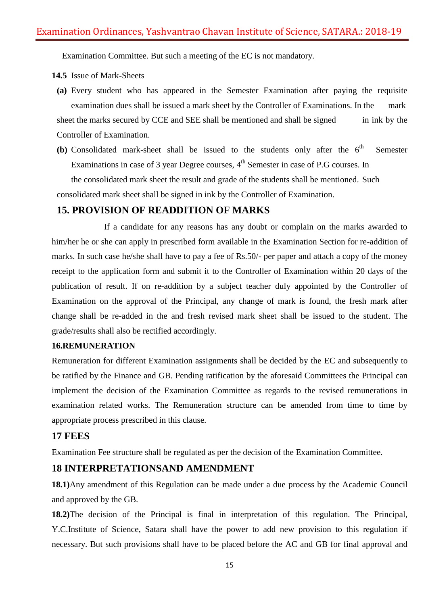Examination Committee. But such a meeting of the EC is not mandatory.

**14.5** Issue of Mark-Sheets

- **(a)** Every student who has appeared in the Semester Examination after paying the requisite examination dues shall be issued a mark sheet by the Controller of Examinations. In the mark sheet the marks secured by CCE and SEE shall be mentioned and shall be signed in ink by the Controller of Examination.
- (b) Consolidated mark-sheet shall be issued to the students only after the  $6<sup>th</sup>$  Semester Examinations in case of 3 year Degree courses, 4<sup>th</sup> Semester in case of P.G courses. In the consolidated mark sheet the result and grade of the students shall be mentioned. Such consolidated mark sheet shall be signed in ink by the Controller of Examination.

# **15. PROVISION OF READDITION OF MARKS**

If a candidate for any reasons has any doubt or complain on the marks awarded to him/her he or she can apply in prescribed form available in the Examination Section for re-addition of marks. In such case he/she shall have to pay a fee of Rs.50/- per paper and attach a copy of the money receipt to the application form and submit it to the Controller of Examination within 20 days of the publication of result. If on re-addition by a subject teacher duly appointed by the Controller of Examination on the approval of the Principal, any change of mark is found, the fresh mark after change shall be re-added in the and fresh revised mark sheet shall be issued to the student. The grade/results shall also be rectified accordingly.

### **16.REMUNERATION**

Remuneration for different Examination assignments shall be decided by the EC and subsequently to be ratified by the Finance and GB. Pending ratification by the aforesaid Committees the Principal can implement the decision of the Examination Committee as regards to the revised remunerations in examination related works. The Remuneration structure can be amended from time to time by appropriate process prescribed in this clause.

### **17 FEES**

Examination Fee structure shall be regulated as per the decision of the Examination Committee.

# **18 INTERPRETATIONSAND AMENDMENT**

**18.1)**Any amendment of this Regulation can be made under a due process by the Academic Council and approved by the GB.

**18.2)**The decision of the Principal is final in interpretation of this regulation. The Principal, Y.C.Institute of Science, Satara shall have the power to add new provision to this regulation if necessary. But such provisions shall have to be placed before the AC and GB for final approval and